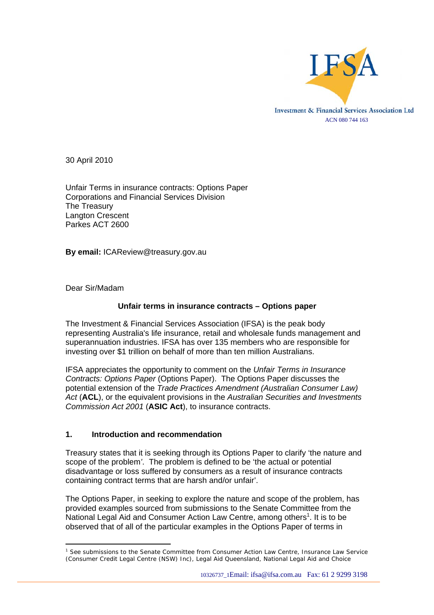

30 April 2010

Unfair Terms in insurance contracts: Options Paper Corporations and Financial Services Division The Treasury Langton Crescent Parkes ACT 2600

**By email:** ICAReview@treasury.gov.au

Dear Sir/Madam

 $\overline{a}$ 

#### **Unfair terms in insurance contracts – Options paper**

The Investment & Financial Services Association (IFSA) is the peak body representing Australia's life insurance, retail and wholesale funds management and superannuation industries. IFSA has over 135 members who are responsible for investing over \$1 trillion on behalf of more than ten million Australians.

IFSA appreciates the opportunity to comment on the *Unfair Terms in Insurance Contracts: Options Paper* (Options Paper). The Options Paper discusses the potential extension of the *Trade Practices Amendment (Australian Consumer Law) Act* (**ACL**), or the equivalent provisions in the *Australian Securities and Investments Commission Act 2001* (**ASIC Act**), to insurance contracts.

#### **1. Introduction and recommendation**

Treasury states that it is seeking through its Options Paper to clarify 'the nature and scope of the problem*'*. The problem is defined to be 'the actual or potential disadvantage or loss suffered by consumers as a result of insurance contracts containing contract terms that are harsh and/or unfair'.

The Options Paper, in seeking to explore the nature and scope of the problem, has provided examples sourced from submissions to the Senate Committee from the National Legal Aid and Consumer Action Law Centre, among others<sup>[1](#page-0-0)</sup>. It is to be observed that of all of the particular examples in the Options Paper of terms in

<span id="page-0-0"></span><sup>&</sup>lt;sup>1</sup> See submissions to the Senate Committee from Consumer Action Law Centre, Insurance Law Service (Consumer Credit Legal Centre (NSW) Inc), Legal Aid Queensland, National Legal Aid and Choice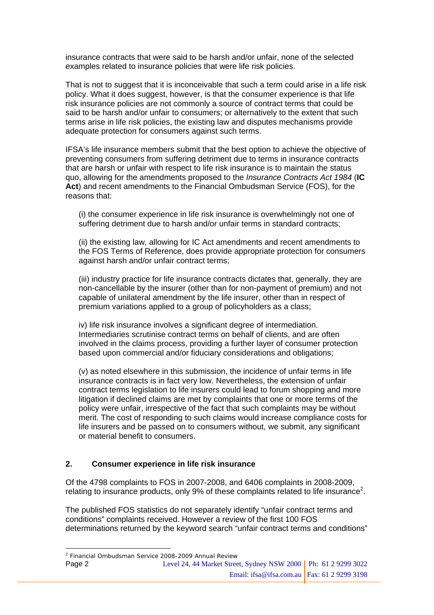insurance contracts that were said to be harsh and/or unfair, none of the selected examples related to insurance policies that were life risk policies.

That is not to suggest that it is inconceivable that such a term could arise in a life risk policy. What it does suggest, however, is that the consumer experience is that life risk insurance policies are not commonly a source of contract terms that could be said to be harsh and/or unfair to consumers; or alternatively to the extent that such terms arise in life risk policies, the existing law and disputes mechanisms provide adequate protection for consumers against such terms.

IFSA's life insurance members submit that the best option to achieve the objective of preventing consumers from suffering detriment due to terms in insurance contracts that are harsh or unfair with respect to life risk insurance is to maintain the status quo, allowing for the amendments proposed to the *Insurance Contracts Act 1984* (**IC Act**) and recent amendments to the Financial Ombudsman Service (FOS), for the reasons that:

(i) the consumer experience in life risk insurance is overwhelmingly not one of suffering detriment due to harsh and/or unfair terms in standard contracts;

(ii) the existing law, allowing for IC Act amendments and recent amendments to the FOS Terms of Reference, does provide appropriate protection for consumers against harsh and/or unfair contract terms;

(iii) industry practice for life insurance contracts dictates that, generally, they are non-cancellable by the insurer (other than for non-payment of premium) and not capable of unilateral amendment by the life insurer, other than in respect of premium variations applied to a group of policyholders as a class;

iv) life risk insurance involves a significant degree of intermediation. Intermediaries scrutinise contract terms on behalf of clients, and are often involved in the claims process, providing a further layer of consumer protection based upon commercial and/or fiduciary considerations and obligations;

(v) as noted elsewhere in this submission, the incidence of unfair terms in life insurance contracts is in fact very low. Nevertheless, the extension of unfair contract terms legislation to life insurers could lead to forum shopping and more litigation if declined claims are met by complaints that one or more terms of the policy were unfair, irrespective of the fact that such complaints may be without merit. The cost of responding to such claims would increase compliance costs for life insurers and be passed on to consumers without, we submit, any significant or material benefit to consumers.

#### **2. Consumer experience in life risk insurance**

Of the 4798 complaints to FOS in 2007-2008, and 6406 complaints in 2008-2009, relating to insurance products, only 9% of these complaints related to life insurance<sup>[2](#page-1-0)</sup>.

The published FOS statistics do not separately identify "unfair contract terms and conditions" complaints received. However a review of the first 100 FOS determinations returned by the keyword search "unfair contract terms and conditions"

 $\overline{a}$ 

Level 24, 44 Market Street, Sydney NSW 2000 | Ph: 61 2 9299 3022 Email: ifsa@ifsa.com.au | Fax: 61 2 9299 3198 Page 2

<span id="page-1-0"></span><sup>2</sup> Financial Ombudsman Service 2008-2009 Annual Review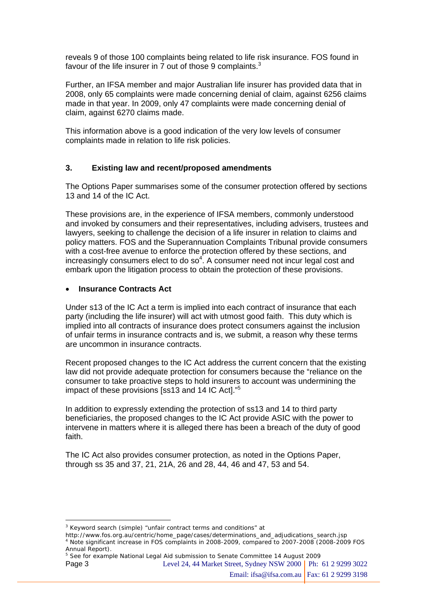reveals 9 of those 100 complaints being related to life risk insurance. FOS found in favour of the life insurer in 7 out of those 9 complaints. $3$ 

Further, an IFSA member and major Australian life insurer has provided data that in 2008, only 65 complaints were made concerning denial of claim, against 6256 claims made in that year. In 2009, only 47 complaints were made concerning denial of claim, against 6270 claims made.

This information above is a good indication of the very low levels of consumer complaints made in relation to life risk policies.

#### **3. Existing law and recent/proposed amendments**

The Options Paper summarises some of the consumer protection offered by sections 13 and 14 of the IC Act.

These provisions are, in the experience of IFSA members, commonly understood and invoked by consumers and their representatives, including advisers, trustees and lawyers, seeking to challenge the decision of a life insurer in relation to claims and policy matters. FOS and the Superannuation Complaints Tribunal provide consumers with a cost-free avenue to enforce the protection offered by these sections, and increasingly consumers elect to do so<sup>[4](#page-2-1)</sup>. A consumer need not incur legal cost and embark upon the litigation process to obtain the protection of these provisions.

#### • **Insurance Contracts Act**

 $\overline{a}$ 

Under s13 of the IC Act a term is implied into each contract of insurance that each party (including the life insurer) will act with utmost good faith. This duty which is implied into all contracts of insurance does protect consumers against the inclusion of unfair terms in insurance contracts and is, we submit, a reason why these terms are uncommon in insurance contracts.

Recent proposed changes to the IC Act address the current concern that the existing law did not provide adequate protection for consumers because the "reliance on the consumer to take proactive steps to hold insurers to account was undermining the impact of these provisions [ss13 and 14 IC Act]."[5](#page-2-2)

In addition to expressly extending the protection of ss13 and 14 to third party beneficiaries, the proposed changes to the IC Act provide ASIC with the power to intervene in matters where it is alleged there has been a breach of the duty of good faith.

The IC Act also provides consumer protection, as noted in the Options Paper, through ss 35 and 37, 21, 21A, 26 and 28, 44, 46 and 47, 53 and 54.

<span id="page-2-2"></span><sup>5</sup> See for example National Legal Aid submission to Senate Committee 14 August 2009

Level 24, 44 Market Street, Sydney NSW 2000 Ph: 61 2 9299 3022 Page 3

<span id="page-2-0"></span><sup>&</sup>lt;sup>3</sup> Keyword search (simple) "unfair contract terms and conditions" at

<span id="page-2-1"></span>http://www.fos.org.au/centric/home\_page/cases/determinations\_and\_adjudications\_search.jsp 4 Note significant increase in FOS complaints in 2008-2009, compared to 2007-2008 (2008-2009 FOS Annual Report).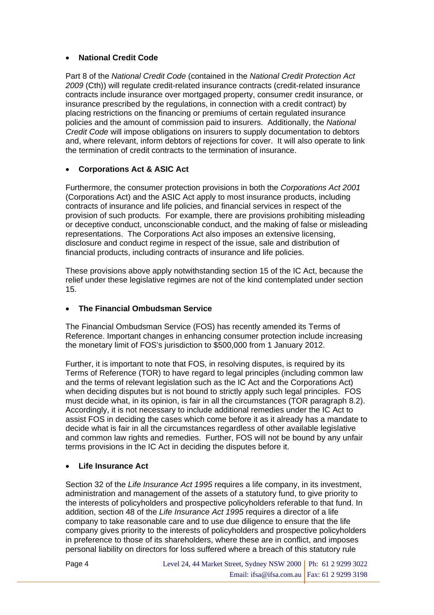### • **National Credit Code**

Part 8 of the *National Credit Code* (contained in the *National Credit Protection Act 2009* (Cth)) will regulate credit-related insurance contracts (credit-related insurance contracts include insurance over mortgaged property, consumer credit insurance, or insurance prescribed by the regulations, in connection with a credit contract) by placing restrictions on the financing or premiums of certain regulated insurance policies and the amount of commission paid to insurers. Additionally, the *National Credit Code* will impose obligations on insurers to supply documentation to debtors and, where relevant, inform debtors of rejections for cover. It will also operate to link the termination of credit contracts to the termination of insurance.

## • **Corporations Act & ASIC Act**

Furthermore, the consumer protection provisions in both the *Corporations Act 2001*  (Corporations Act) and the ASIC Act apply to most insurance products, including contracts of insurance and life policies, and financial services in respect of the provision of such products. For example, there are provisions prohibiting misleading or deceptive conduct, unconscionable conduct, and the making of false or misleading representations. The Corporations Act also imposes an extensive licensing, disclosure and conduct regime in respect of the issue, sale and distribution of financial products, including contracts of insurance and life policies.

These provisions above apply notwithstanding section 15 of the IC Act, because the relief under these legislative regimes are not of the kind contemplated under section 15.

#### • **The Financial Ombudsman Service**

The Financial Ombudsman Service (FOS) has recently amended its Terms of Reference. Important changes in enhancing consumer protection include increasing the monetary limit of FOS's jurisdiction to \$500,000 from 1 January 2012.

Further, it is important to note that FOS, in resolving disputes, is required by its Terms of Reference (TOR) to have regard to legal principles (including common law and the terms of relevant legislation such as the IC Act and the Corporations Act) when deciding disputes but is not bound to strictly apply such legal principles. FOS must decide what, in its opinion, is fair in all the circumstances (TOR paragraph 8.2). Accordingly, it is not necessary to include additional remedies under the IC Act to assist FOS in deciding the cases which come before it as it already has a mandate to decide what is fair in all the circumstances regardless of other available legislative and common law rights and remedies. Further, FOS will not be bound by any unfair terms provisions in the IC Act in deciding the disputes before it.

#### • **Life Insurance Act**

Page 4

Section 32 of the *Life Insurance Act 1995* requires a life company, in its investment, administration and management of the assets of a statutory fund, to give priority to the interests of policyholders and prospective policyholders referable to that fund. In addition, section 48 of the *Life Insurance Act 1995* requires a director of a life company to take reasonable care and to use due diligence to ensure that the life company gives priority to the interests of policyholders and prospective policyholders in preference to those of its shareholders, where these are in conflict, and imposes personal liability on directors for loss suffered where a breach of this statutory rule

| Level 24, 44 Market Street, Sydney NSW 2000   Ph: 61 2 9299 3022 |  |
|------------------------------------------------------------------|--|
| Email: ifsa@ifsa.com.au   Fax: 61 2 9299 3198                    |  |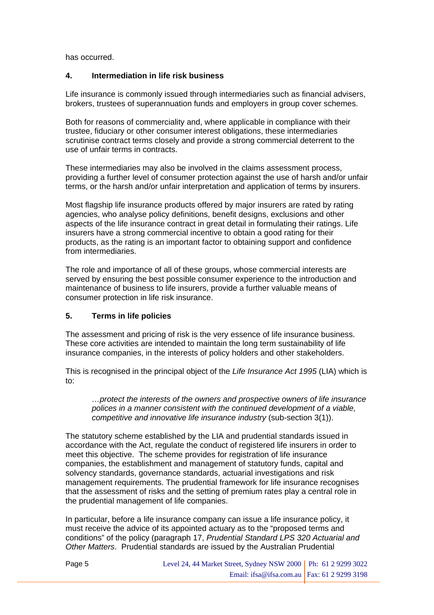has occurred.

#### **4. Intermediation in life risk business**

Life insurance is commonly issued through intermediaries such as financial advisers, brokers, trustees of superannuation funds and employers in group cover schemes.

Both for reasons of commerciality and, where applicable in compliance with their trustee, fiduciary or other consumer interest obligations, these intermediaries scrutinise contract terms closely and provide a strong commercial deterrent to the use of unfair terms in contracts.

These intermediaries may also be involved in the claims assessment process, providing a further level of consumer protection against the use of harsh and/or unfair terms, or the harsh and/or unfair interpretation and application of terms by insurers.

Most flagship life insurance products offered by major insurers are rated by rating agencies, who analyse policy definitions, benefit designs, exclusions and other aspects of the life insurance contract in great detail in formulating their ratings. Life insurers have a strong commercial incentive to obtain a good rating for their products, as the rating is an important factor to obtaining support and confidence from intermediaries.

The role and importance of all of these groups, whose commercial interests are served by ensuring the best possible consumer experience to the introduction and maintenance of business to life insurers, provide a further valuable means of consumer protection in life risk insurance.

#### **5. Terms in life policies**

The assessment and pricing of risk is the very essence of life insurance business. These core activities are intended to maintain the long term sustainability of life insurance companies, in the interests of policy holders and other stakeholders.

This is recognised in the principal object of the *Life Insurance Act 1995* (LIA) which is to:

*…protect the interests of the owners and prospective owners of life insurance polices in a manner consistent with the continued development of a viable, competitive and innovative life insurance industry* (sub-section 3(1)).

The statutory scheme established by the LIA and prudential standards issued in accordance with the Act, regulate the conduct of registered life insurers in order to meet this objective. The scheme provides for registration of life insurance companies, the establishment and management of statutory funds, capital and solvency standards, governance standards, actuarial investigations and risk management requirements. The prudential framework for life insurance recognises that the assessment of risks and the setting of premium rates play a central role in the prudential management of life companies.

In particular, before a life insurance company can issue a life insurance policy, it must receive the advice of its appointed actuary as to the "proposed terms and conditions" of the policy (paragraph 17, *Prudential Standard LPS 320 Actuarial and Other Matters*. Prudential standards are issued by the Australian Prudential

| Level 24, 44 Market Street, Sydney NSW 2000   Ph: 61 2 9299 3022 |  |
|------------------------------------------------------------------|--|
| Email: ifsa@ifsa.com.au   Fax: 61 2 9299 3198                    |  |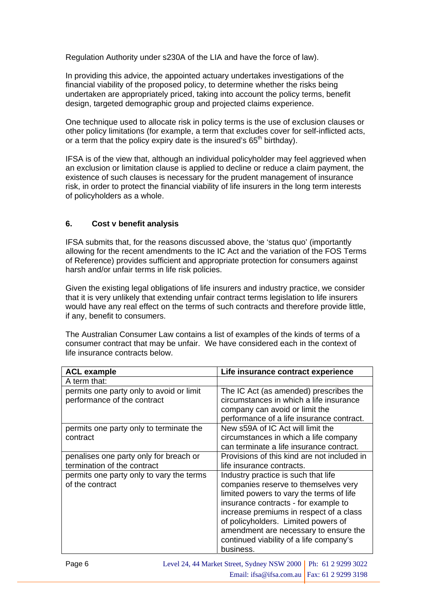Regulation Authority under s230A of the LIA and have the force of law).

In providing this advice, the appointed actuary undertakes investigations of the financial viability of the proposed policy, to determine whether the risks being undertaken are appropriately priced, taking into account the policy terms, benefit design, targeted demographic group and projected claims experience.

One technique used to allocate risk in policy terms is the use of exclusion clauses or other policy limitations (for example, a term that excludes cover for self-inflicted acts, or a term that the policy expiry date is the insured's  $65<sup>th</sup>$  birthday).

IFSA is of the view that, although an individual policyholder may feel aggrieved when an exclusion or limitation clause is applied to decline or reduce a claim payment, the existence of such clauses is necessary for the prudent management of insurance risk, in order to protect the financial viability of life insurers in the long term interests of policyholders as a whole.

# **6. Cost v benefit analysis**

IFSA submits that, for the reasons discussed above, the 'status quo' (importantly allowing for the recent amendments to the IC Act and the variation of the FOS Terms of Reference) provides sufficient and appropriate protection for consumers against harsh and/or unfair terms in life risk policies.

Given the existing legal obligations of life insurers and industry practice, we consider that it is very unlikely that extending unfair contract terms legislation to life insurers would have any real effect on the terms of such contracts and therefore provide little, if any, benefit to consumers.

The Australian Consumer Law contains a list of examples of the kinds of terms of a consumer contract that may be unfair. We have considered each in the context of life insurance contracts below.

| <b>ACL example</b>                                                      | Life insurance contract experience                                                                                                                                                                                                                                                                                                                 |
|-------------------------------------------------------------------------|----------------------------------------------------------------------------------------------------------------------------------------------------------------------------------------------------------------------------------------------------------------------------------------------------------------------------------------------------|
| A term that:                                                            |                                                                                                                                                                                                                                                                                                                                                    |
| permits one party only to avoid or limit<br>performance of the contract | The IC Act (as amended) prescribes the<br>circumstances in which a life insurance<br>company can avoid or limit the<br>performance of a life insurance contract.                                                                                                                                                                                   |
| permits one party only to terminate the<br>contract                     | New s59A of IC Act will limit the<br>circumstances in which a life company<br>can terminate a life insurance contract.                                                                                                                                                                                                                             |
| penalises one party only for breach or<br>termination of the contract   | Provisions of this kind are not included in<br>life insurance contracts.                                                                                                                                                                                                                                                                           |
| permits one party only to vary the terms<br>of the contract             | Industry practice is such that life<br>companies reserve to themselves very<br>limited powers to vary the terms of life<br>insurance contracts - for example to<br>increase premiums in respect of a class<br>of policyholders. Limited powers of<br>amendment are necessary to ensure the<br>continued viability of a life company's<br>business. |
| <b>Pane 6</b>                                                           | Level 24, 44 Market Street, Sydney NSW 2000   Ph: 61, 2, 9299, 3022                                                                                                                                                                                                                                                                                |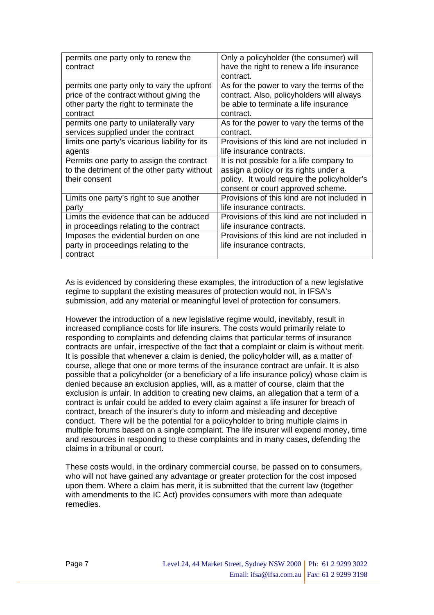| permits one party only to renew the<br>contract | Only a policyholder (the consumer) will<br>have the right to renew a life insurance<br>contract. |
|-------------------------------------------------|--------------------------------------------------------------------------------------------------|
| permits one party only to vary the upfront      | As for the power to vary the terms of the                                                        |
| price of the contract without giving the        | contract. Also, policyholders will always                                                        |
| other party the right to terminate the          | be able to terminate a life insurance                                                            |
| contract                                        | contract.                                                                                        |
| permits one party to unilaterally vary          | As for the power to vary the terms of the                                                        |
| services supplied under the contract            | contract.                                                                                        |
| limits one party's vicarious liability for its  | Provisions of this kind are not included in                                                      |
| agents                                          | life insurance contracts.                                                                        |
| Permits one party to assign the contract        | It is not possible for a life company to                                                         |
| to the detriment of the other party without     | assign a policy or its rights under a                                                            |
| their consent                                   | policy. It would require the policyholder's<br>consent or court approved scheme.                 |
| Limits one party's right to sue another         | Provisions of this kind are not included in                                                      |
| party                                           | life insurance contracts.                                                                        |
| Limits the evidence that can be adduced         | Provisions of this kind are not included in                                                      |
| in proceedings relating to the contract         | life insurance contracts.                                                                        |

As is evidenced by considering these examples, the introduction of a new legislative regime to supplant the existing measures of protection would not, in IFSA's submission, add any material or meaningful level of protection for consumers.

However the introduction of a new legislative regime would, inevitably, result in increased compliance costs for life insurers. The costs would primarily relate to responding to complaints and defending claims that particular terms of insurance contracts are unfair, irrespective of the fact that a complaint or claim is without merit. It is possible that whenever a claim is denied, the policyholder will, as a matter of course, allege that one or more terms of the insurance contract are unfair. It is also possible that a policyholder (or a beneficiary of a life insurance policy) whose claim is denied because an exclusion applies, will, as a matter of course, claim that the exclusion is unfair. In addition to creating new claims, an allegation that a term of a contract is unfair could be added to every claim against a life insurer for breach of contract, breach of the insurer's duty to inform and misleading and deceptive conduct. There will be the potential for a policyholder to bring multiple claims in multiple forums based on a single complaint. The life insurer will expend money, time and resources in responding to these complaints and in many cases, defending the claims in a tribunal or court.

These costs would, in the ordinary commercial course, be passed on to consumers, who will not have gained any advantage or greater protection for the cost imposed upon them. Where a claim has merit, it is submitted that the current law (together with amendments to the IC Act) provides consumers with more than adequate remedies.